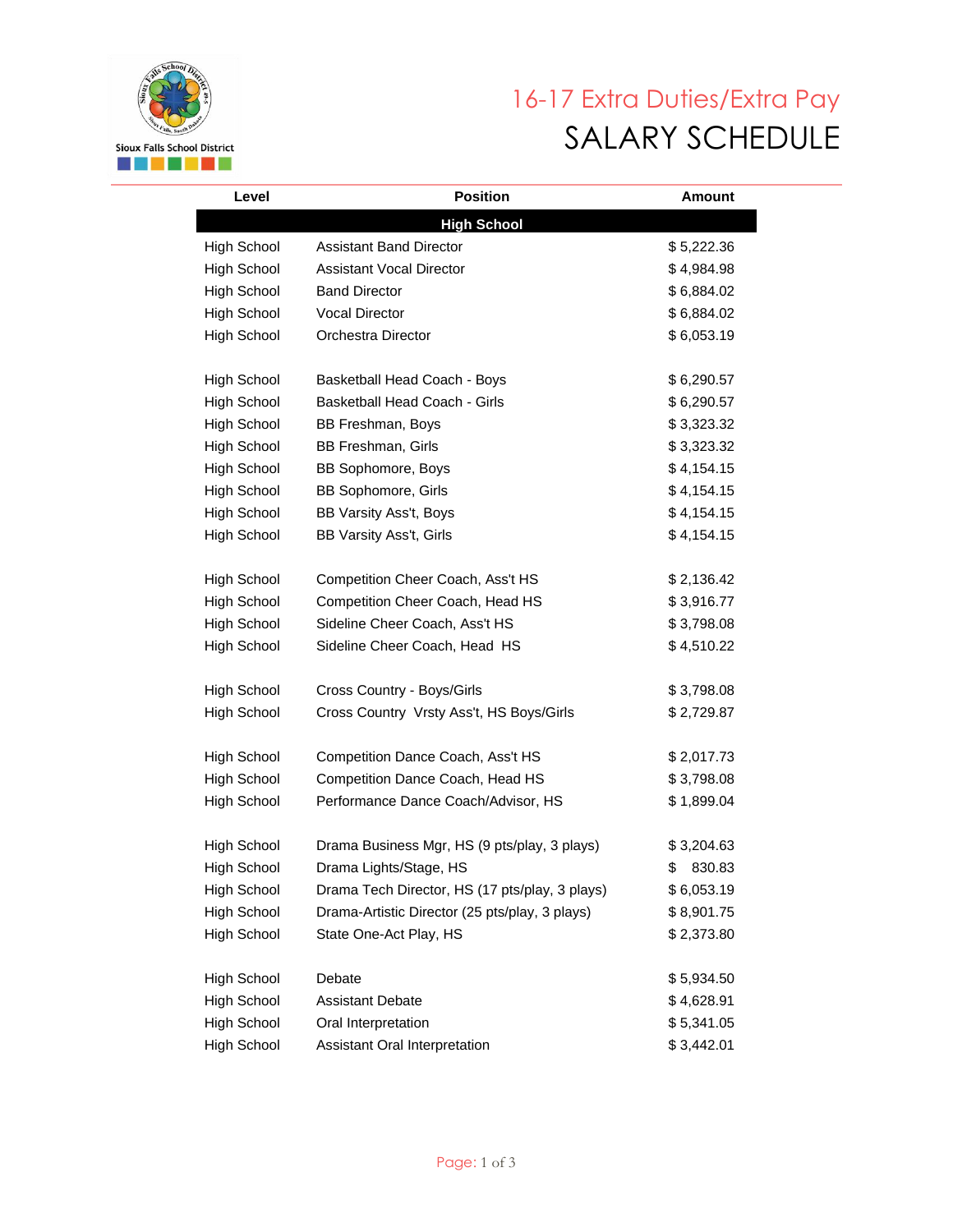

## 16-17 Extra Duties/Extra Pay SALARY SCHEDULE

| Level              | <b>Position</b>                                | <b>Amount</b> |  |  |
|--------------------|------------------------------------------------|---------------|--|--|
| <b>High School</b> |                                                |               |  |  |
| <b>High School</b> | <b>Assistant Band Director</b>                 | \$5,222.36    |  |  |
| <b>High School</b> | <b>Assistant Vocal Director</b>                | \$4,984.98    |  |  |
| <b>High School</b> | <b>Band Director</b>                           | \$6,884.02    |  |  |
| <b>High School</b> | <b>Vocal Director</b>                          | \$6,884.02    |  |  |
| <b>High School</b> | Orchestra Director                             | \$6,053.19    |  |  |
|                    |                                                |               |  |  |
| High School        | Basketball Head Coach - Boys                   | \$6,290.57    |  |  |
| <b>High School</b> | Basketball Head Coach - Girls                  | \$6,290.57    |  |  |
| <b>High School</b> | BB Freshman, Boys                              | \$3,323.32    |  |  |
| <b>High School</b> | BB Freshman, Girls                             | \$3,323.32    |  |  |
| <b>High School</b> | BB Sophomore, Boys                             | \$4,154.15    |  |  |
| <b>High School</b> | <b>BB Sophomore, Girls</b>                     | \$4,154.15    |  |  |
| <b>High School</b> | BB Varsity Ass't, Boys                         | \$4,154.15    |  |  |
| <b>High School</b> | BB Varsity Ass't, Girls                        | \$4,154.15    |  |  |
| <b>High School</b> | Competition Cheer Coach, Ass't HS              | \$2,136.42    |  |  |
| High School        | Competition Cheer Coach, Head HS               | \$3,916.77    |  |  |
|                    |                                                |               |  |  |
| <b>High School</b> | Sideline Cheer Coach, Ass't HS                 | \$3,798.08    |  |  |
| <b>High School</b> | Sideline Cheer Coach, Head HS                  | \$4,510.22    |  |  |
| <b>High School</b> | Cross Country - Boys/Girls                     | \$3,798.08    |  |  |
| <b>High School</b> | Cross Country Vrsty Ass't, HS Boys/Girls       | \$2,729.87    |  |  |
| <b>High School</b> | Competition Dance Coach, Ass't HS              | \$2,017.73    |  |  |
| <b>High School</b> | Competition Dance Coach, Head HS               | \$3,798.08    |  |  |
| <b>High School</b> | Performance Dance Coach/Advisor, HS            | \$1,899.04    |  |  |
|                    |                                                |               |  |  |
| High School        | Drama Business Mgr, HS (9 pts/play, 3 plays)   | \$3,204.63    |  |  |
| <b>High School</b> | Drama Lights/Stage, HS                         | \$<br>830.83  |  |  |
| <b>High School</b> | Drama Tech Director, HS (17 pts/play, 3 plays) | \$6,053.19    |  |  |
| High School        | Drama-Artistic Director (25 pts/play, 3 plays) | \$8,901.75    |  |  |
| High School        | State One-Act Play, HS                         | \$2,373.80    |  |  |
| High School        | Debate                                         | \$5,934.50    |  |  |
| High School        | <b>Assistant Debate</b>                        | \$4,628.91    |  |  |
| High School        | Oral Interpretation                            | \$5,341.05    |  |  |
| High School        | Assistant Oral Interpretation                  | \$3,442.01    |  |  |
|                    |                                                |               |  |  |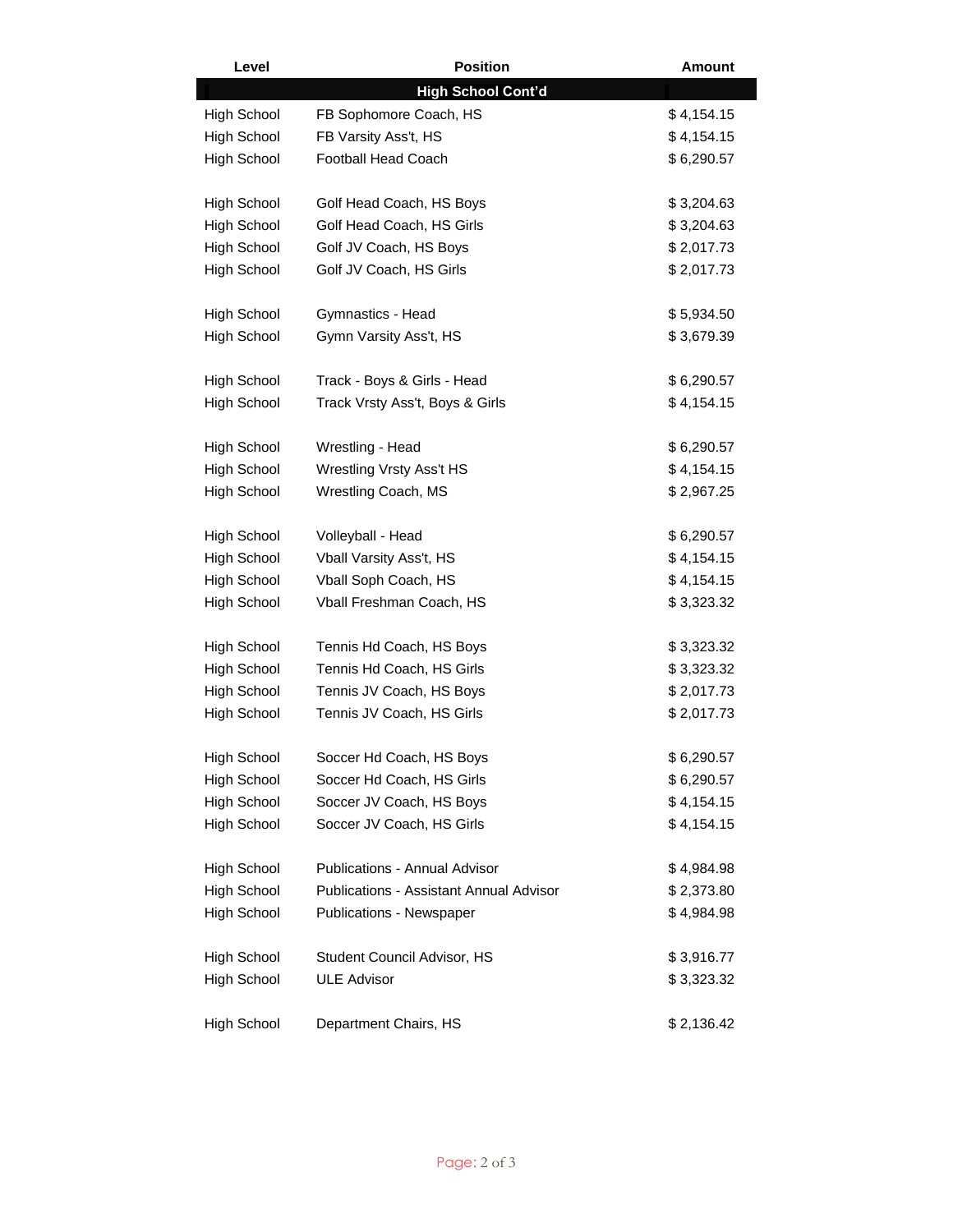| Level              | <b>Position</b>                                | <b>Amount</b> |
|--------------------|------------------------------------------------|---------------|
|                    | <b>High School Cont'd</b>                      |               |
| <b>High School</b> | FB Sophomore Coach, HS                         | \$4,154.15    |
| <b>High School</b> | FB Varsity Ass't, HS                           | \$4,154.15    |
| High School        | <b>Football Head Coach</b>                     | \$6,290.57    |
|                    |                                                |               |
| <b>High School</b> | Golf Head Coach, HS Boys                       | \$3,204.63    |
| <b>High School</b> | Golf Head Coach, HS Girls                      | \$3,204.63    |
| High School        | Golf JV Coach, HS Boys                         | \$2,017.73    |
| <b>High School</b> | Golf JV Coach, HS Girls                        | \$2,017.73    |
|                    |                                                |               |
| <b>High School</b> | Gymnastics - Head                              | \$5,934.50    |
| <b>High School</b> | Gymn Varsity Ass't, HS                         | \$3,679.39    |
|                    |                                                |               |
| High School        | Track - Boys & Girls - Head                    | \$6,290.57    |
| <b>High School</b> | Track Vrsty Ass't, Boys & Girls                | \$4,154.15    |
|                    |                                                |               |
| <b>High School</b> | Wrestling - Head                               | \$6,290.57    |
| <b>High School</b> | Wrestling Vrsty Ass't HS                       | \$4,154.15    |
| <b>High School</b> | Wrestling Coach, MS                            | \$2,967.25    |
|                    |                                                |               |
| <b>High School</b> | Volleyball - Head                              | \$6,290.57    |
| <b>High School</b> | Vball Varsity Ass't, HS                        | \$4,154.15    |
| <b>High School</b> | Vball Soph Coach, HS                           | \$4,154.15    |
| High School        | Vball Freshman Coach, HS                       | \$3,323.32    |
| <b>High School</b> | Tennis Hd Coach, HS Boys                       | \$3,323.32    |
| <b>High School</b> | Tennis Hd Coach, HS Girls                      | \$3,323.32    |
| High School        | Tennis JV Coach, HS Boys                       | \$2,017.73    |
| <b>High School</b> | Tennis JV Coach, HS Girls                      | \$2,017.73    |
|                    |                                                |               |
| <b>High School</b> | Soccer Hd Coach, HS Boys                       | \$6,290.57    |
| <b>High School</b> | Soccer Hd Coach, HS Girls                      | \$6,290.57    |
| <b>High School</b> | Soccer JV Coach, HS Boys                       | \$4,154.15    |
| High School        | Soccer JV Coach, HS Girls                      | \$4,154.15    |
|                    |                                                |               |
| <b>High School</b> | <b>Publications - Annual Advisor</b>           | \$4,984.98    |
| <b>High School</b> | <b>Publications - Assistant Annual Advisor</b> | \$2,373.80    |
| High School        | <b>Publications - Newspaper</b>                | \$4,984.98    |
| <b>High School</b> | Student Council Advisor, HS                    | \$3,916.77    |
| <b>High School</b> | <b>ULE Advisor</b>                             | \$3,323.32    |
|                    |                                                |               |
| High School        | Department Chairs, HS                          | \$2,136.42    |